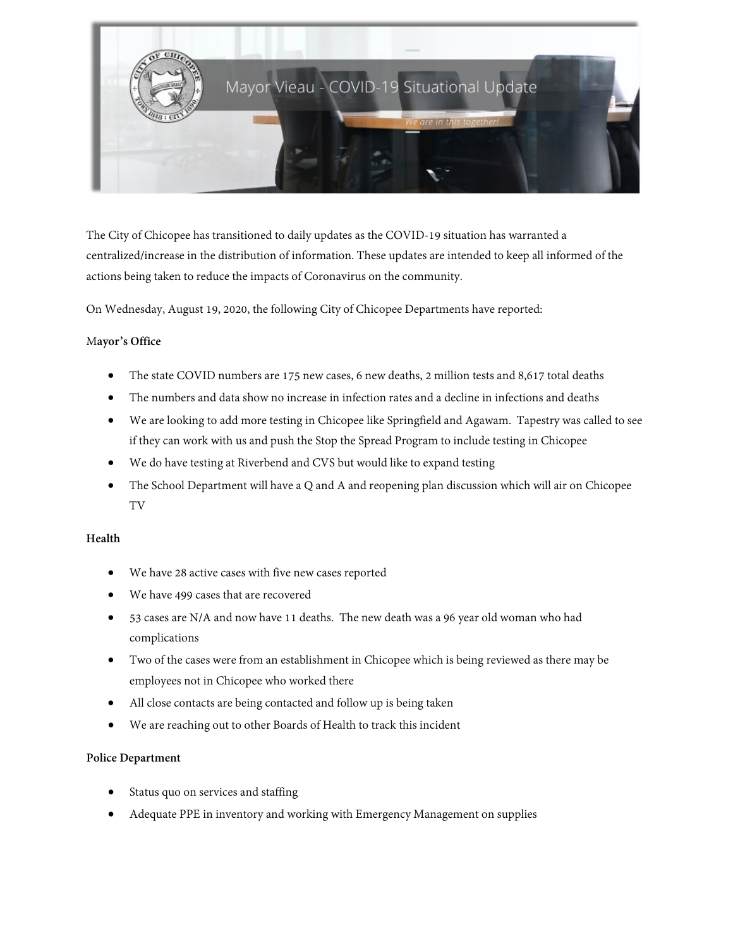

The City of Chicopee has transitioned to daily updates as the COVID-19 situation has warranted a centralized/increase in the distribution of information. These updates are intended to keep all informed of the actions being taken to reduce the impacts of Coronavirus on the community.

On Wednesday, August 19, 2020, the following City of Chicopee Departments have reported:

# M**ayor's Office**

- The state COVID numbers are 175 new cases, 6 new deaths, 2 million tests and 8,617 total deaths
- The numbers and data show no increase in infection rates and a decline in infections and deaths
- We are looking to add more testing in Chicopee like Springfield and Agawam. Tapestry was called to see if they can work with us and push the Stop the Spread Program to include testing in Chicopee
- We do have testing at Riverbend and CVS but would like to expand testing
- The School Department will have a Q and A and reopening plan discussion which will air on Chicopee TV

### **Health**

- We have 28 active cases with five new cases reported
- We have 499 cases that are recovered
- 53 cases are N/A and now have 11 deaths. The new death was a 96 year old woman who had complications
- Two of the cases were from an establishment in Chicopee which is being reviewed as there may be employees not in Chicopee who worked there
- All close contacts are being contacted and follow up is being taken
- We are reaching out to other Boards of Health to track this incident

### **Police Department**

- Status quo on services and staffing
- Adequate PPE in inventory and working with Emergency Management on supplies